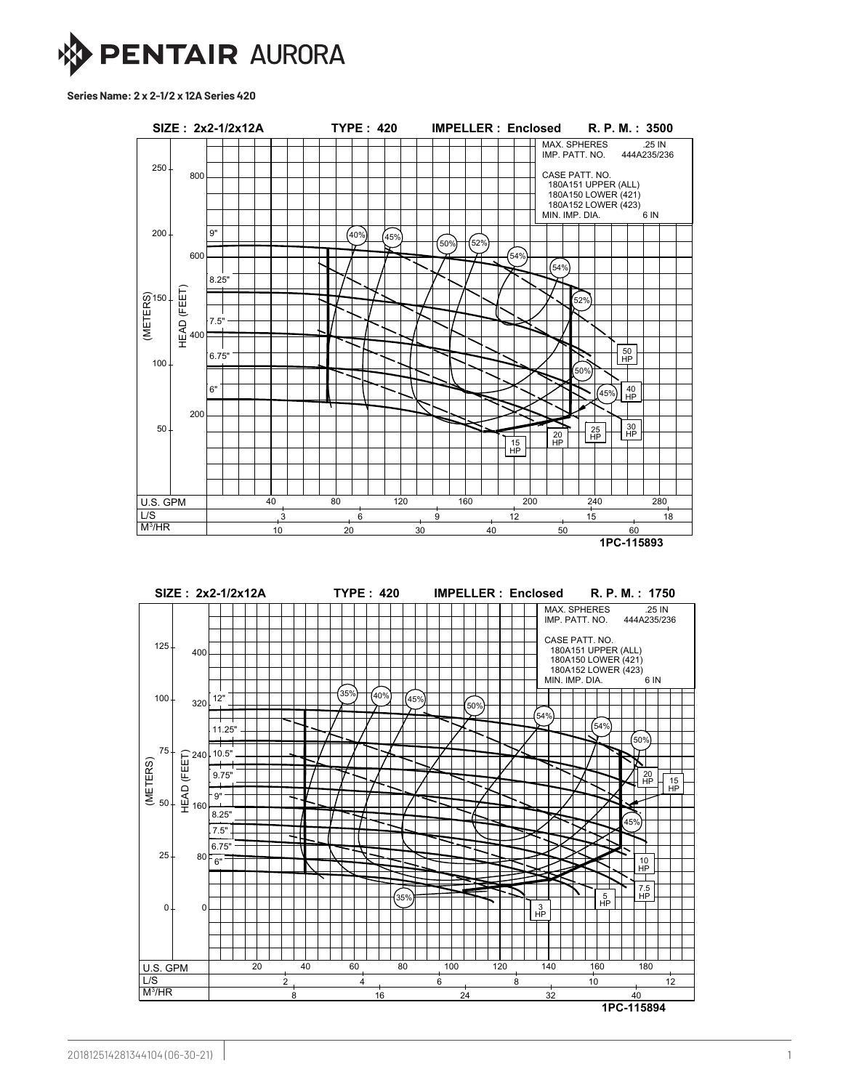

**Series Name: 2 x 2-1/2 x 12A Series 420**

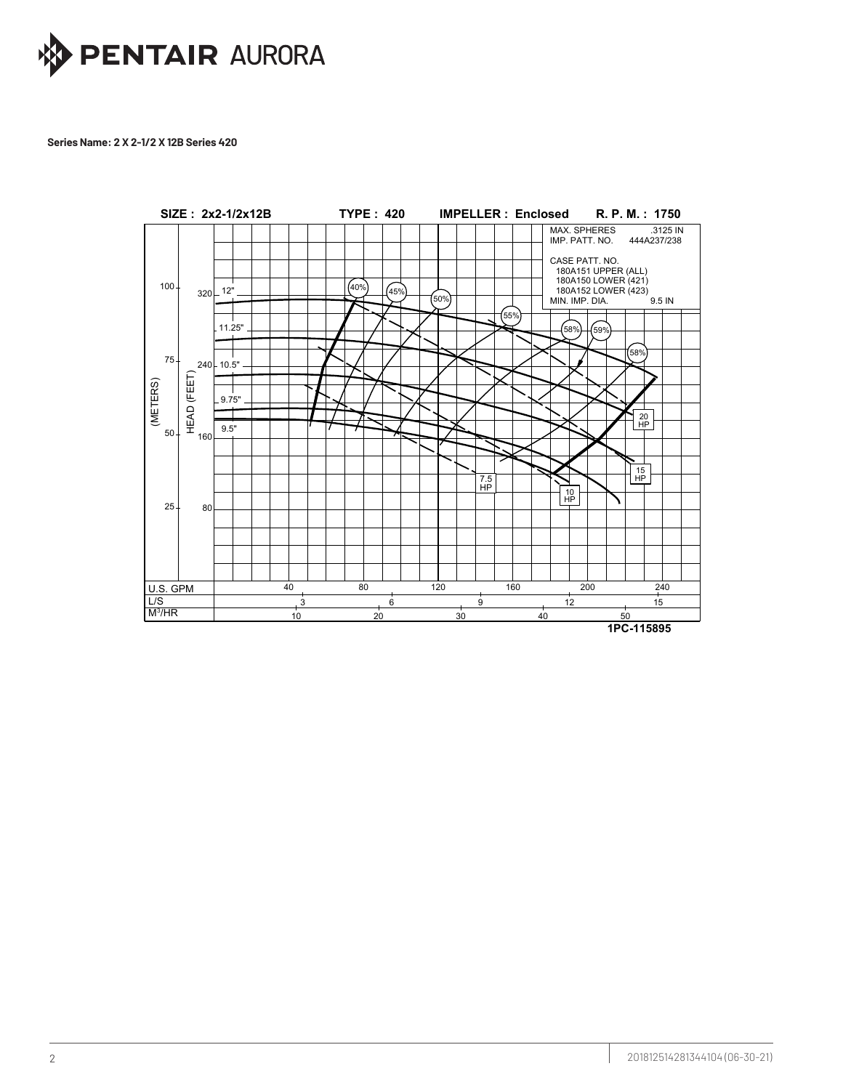

## Series Name: 2 X 2-1/2 X 12B Series 420 **2** *20 20 20 20 20 20 20 20 20 20 20 20 20* Series Name: 2 X 2-1/2 X 12b

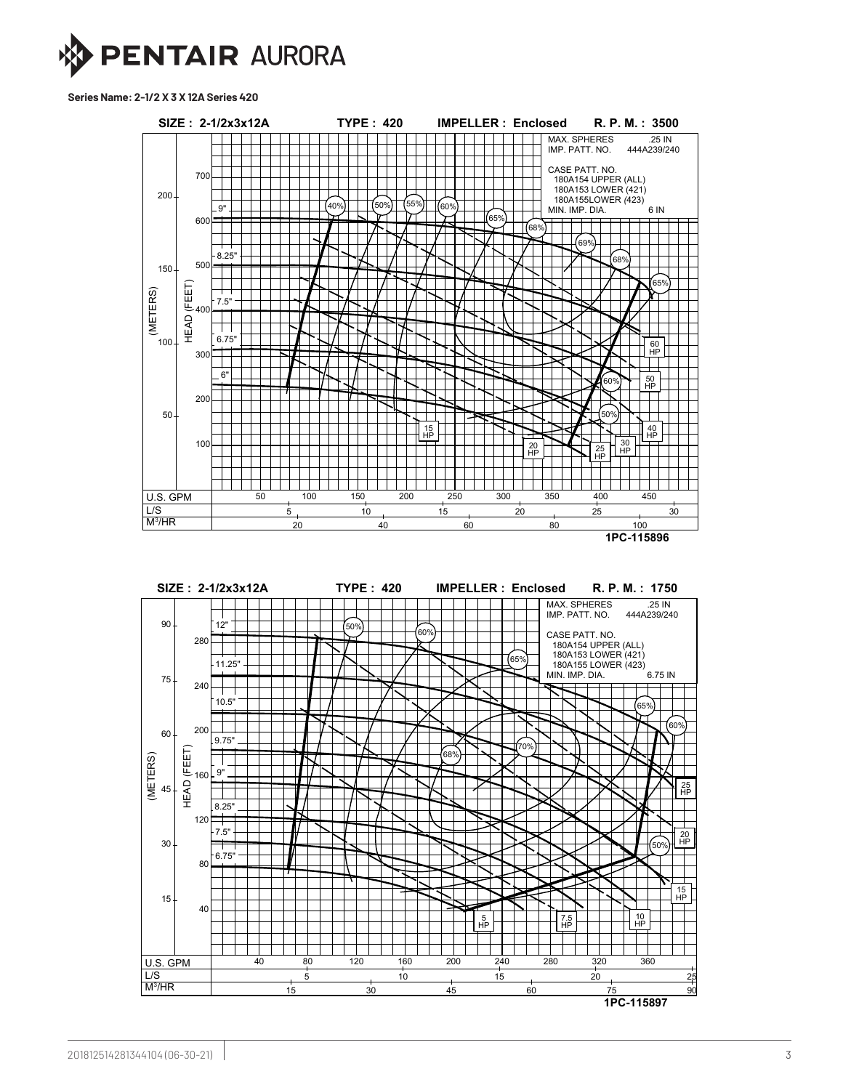

**Series Name: 2-1/2 X 3 X 12A Series 420**



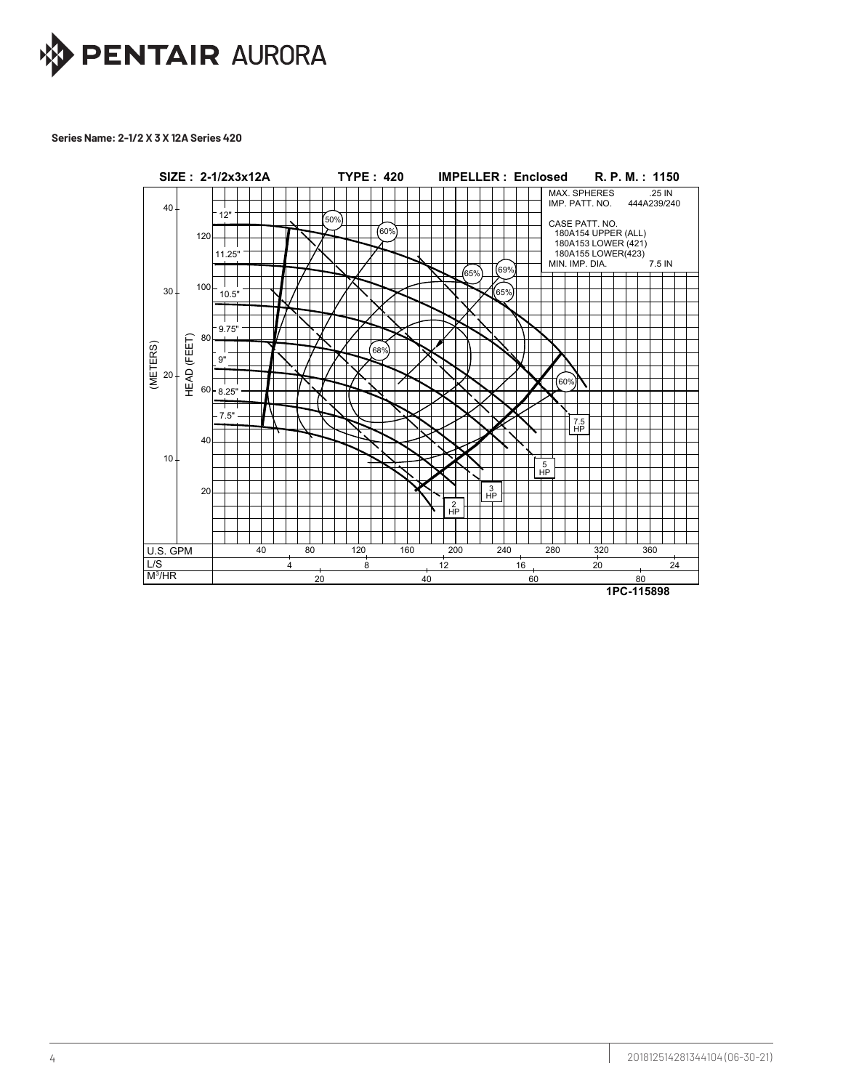

## **Series Name: 2-1/2 X 3 X 12A Series 420**

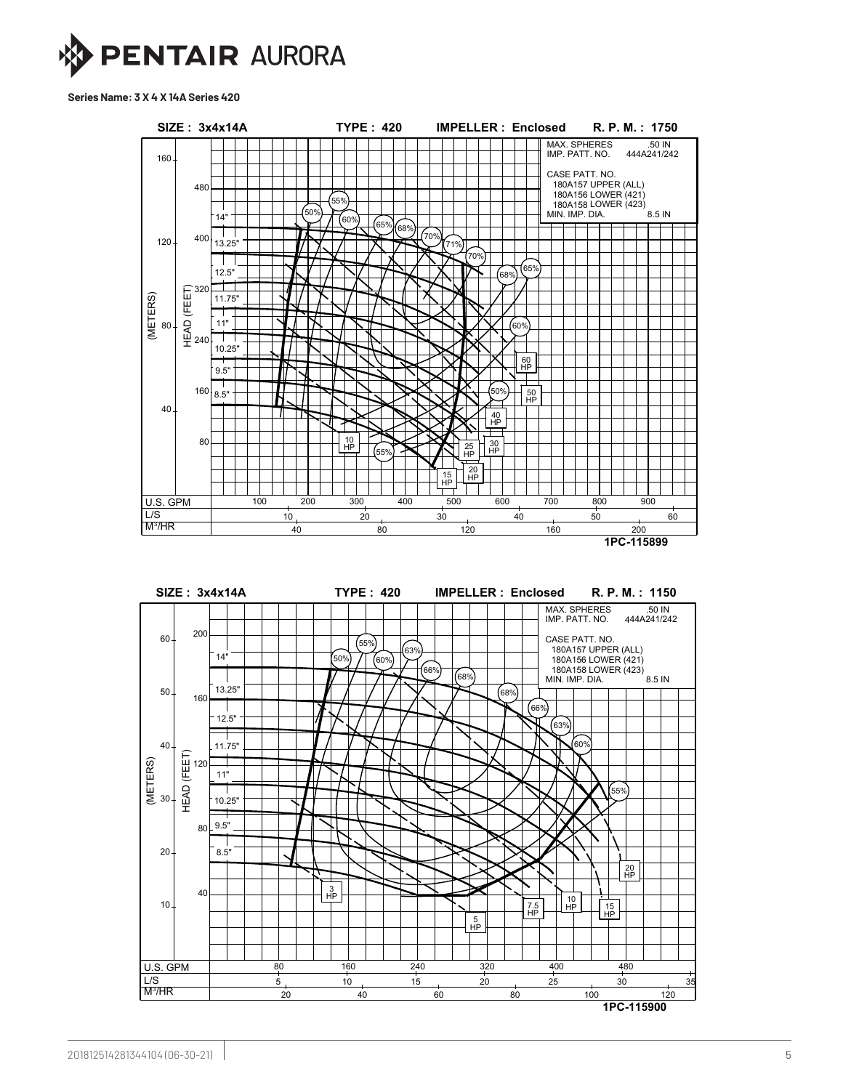

**Series Name: 3 X 4 X 14A Series 420**



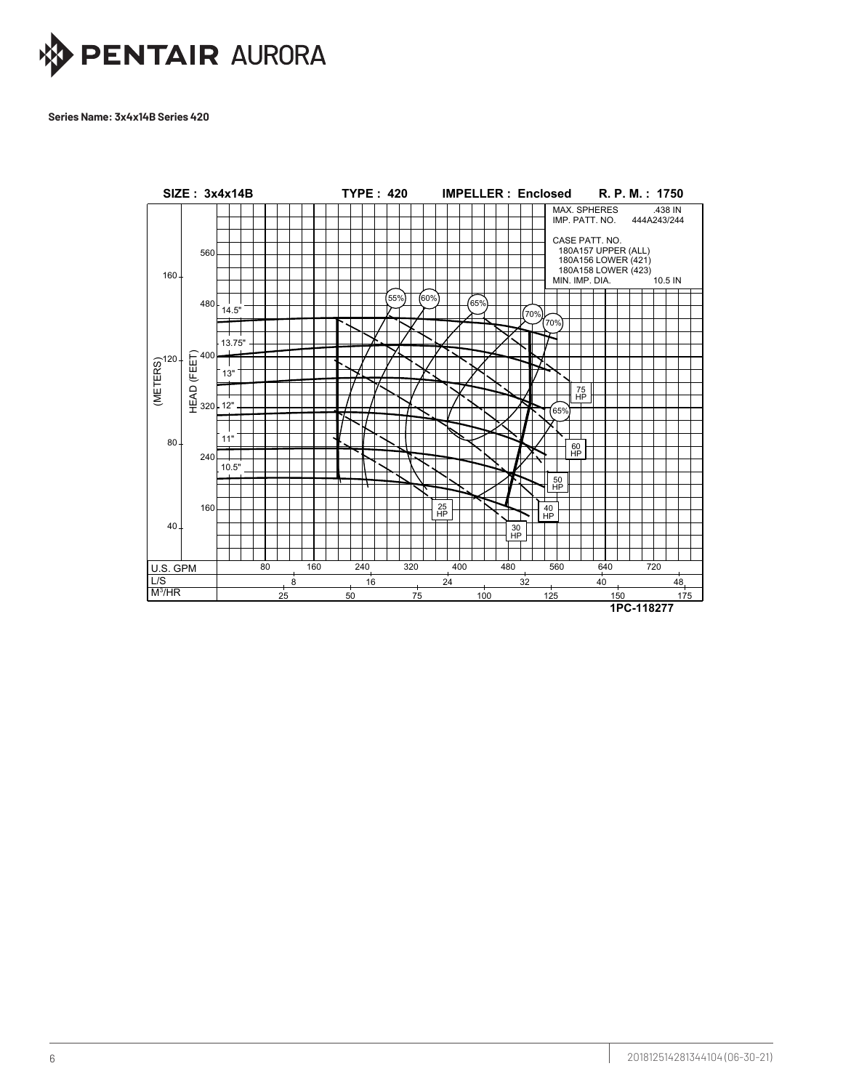

Series Name: 3x4x14B Series 420

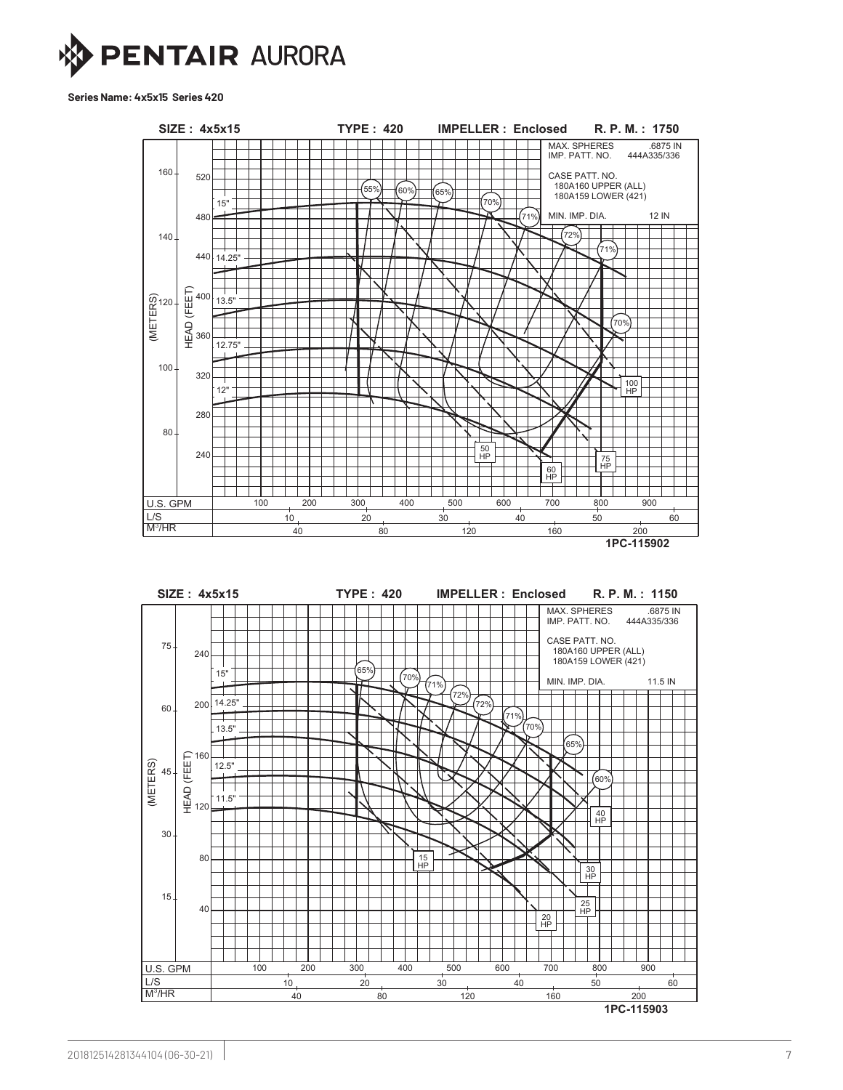

**Series Name: 4x5x15 Series 420**



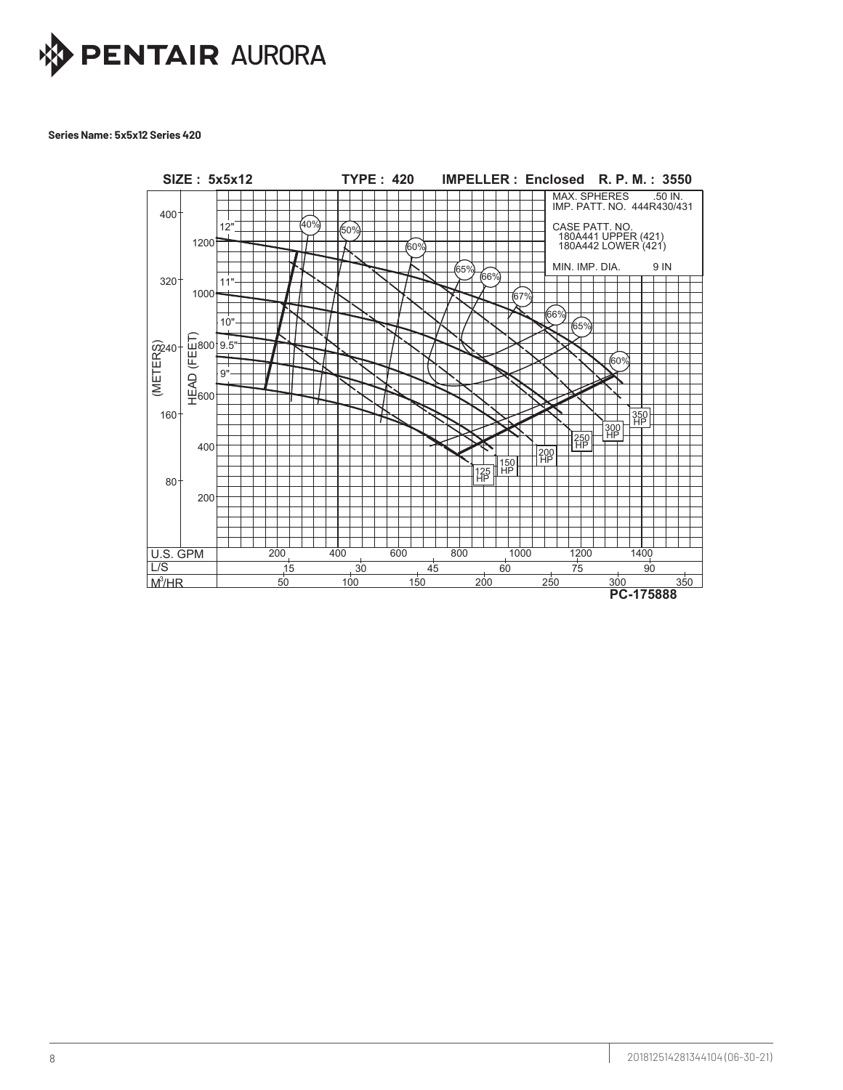

Series Name: 5x5x12 Series 420

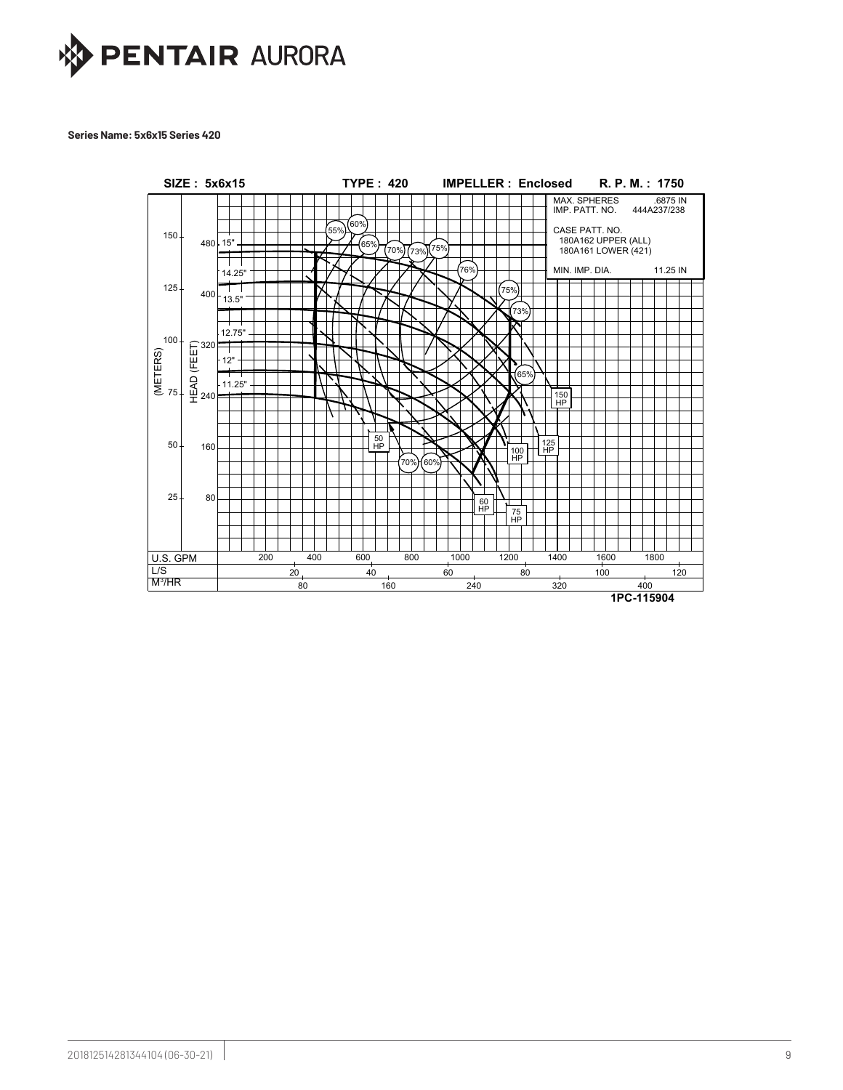

#### **Series Name: 5x6x15 Series 420**

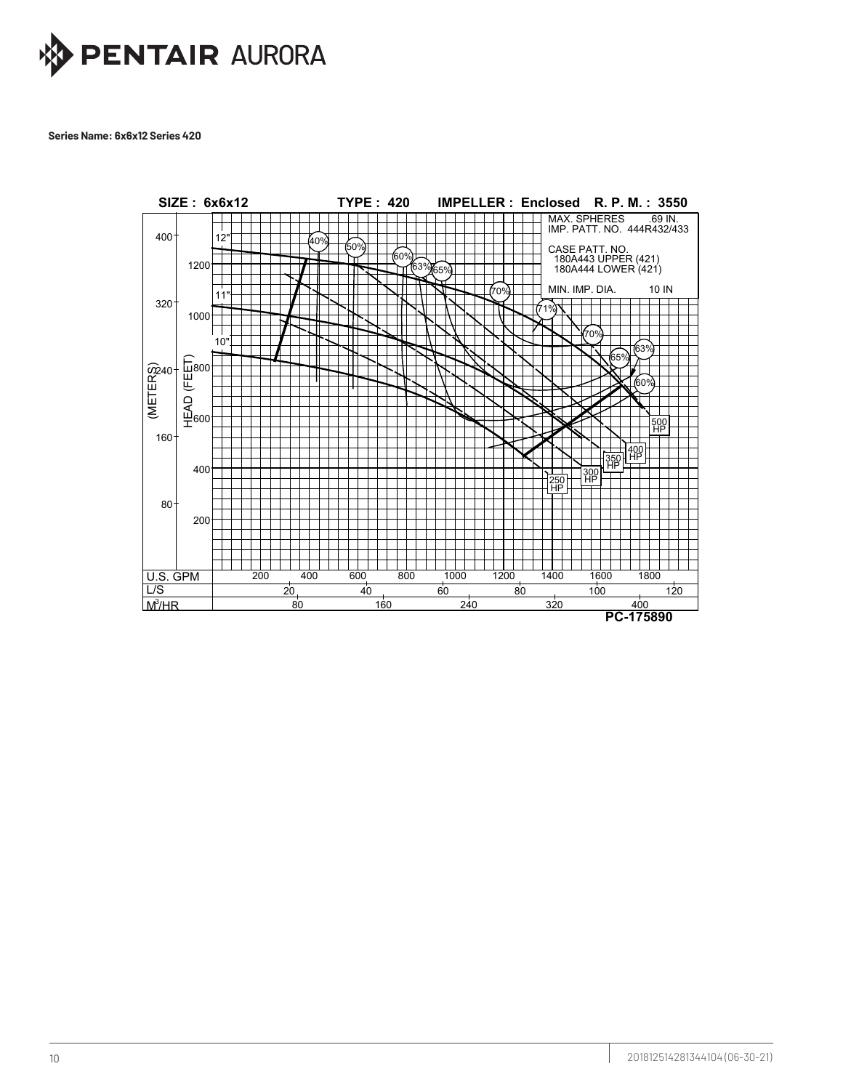

Series Name: 6x6x12 Series 420 Series Name: 6x6x12 Series 420

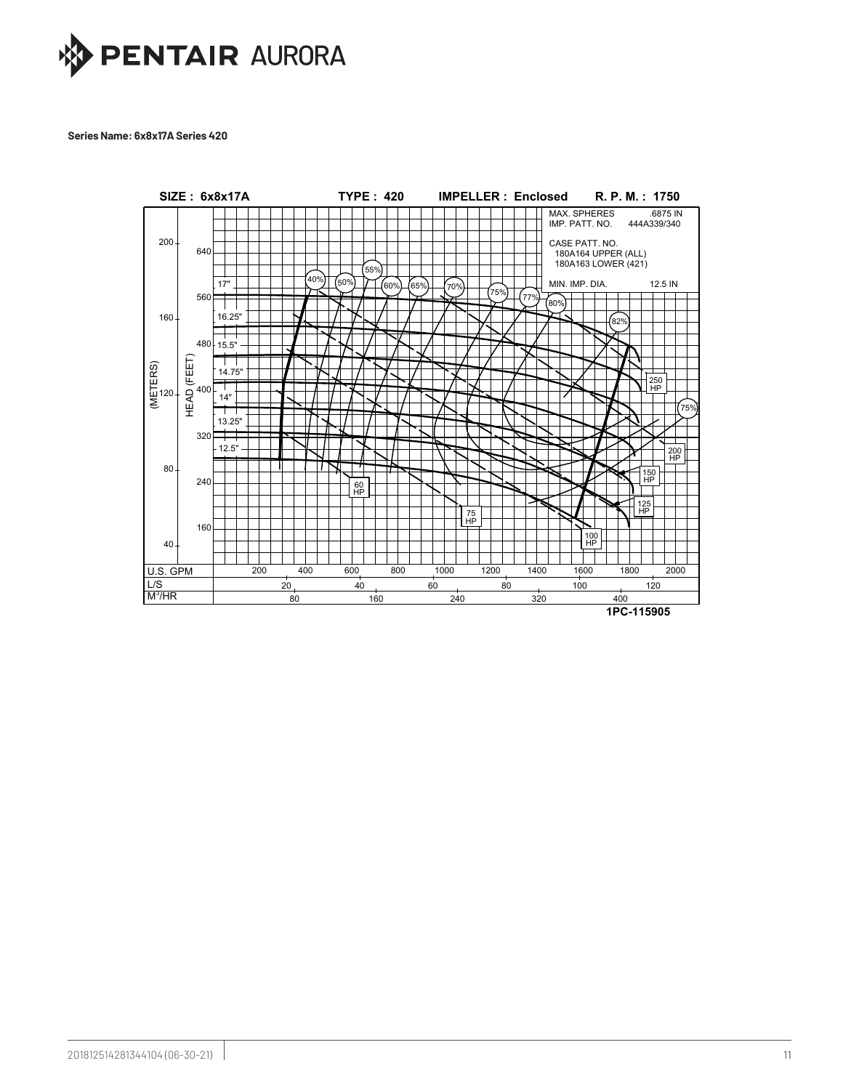

#### **Series Name: 6x8x17A Series 420**